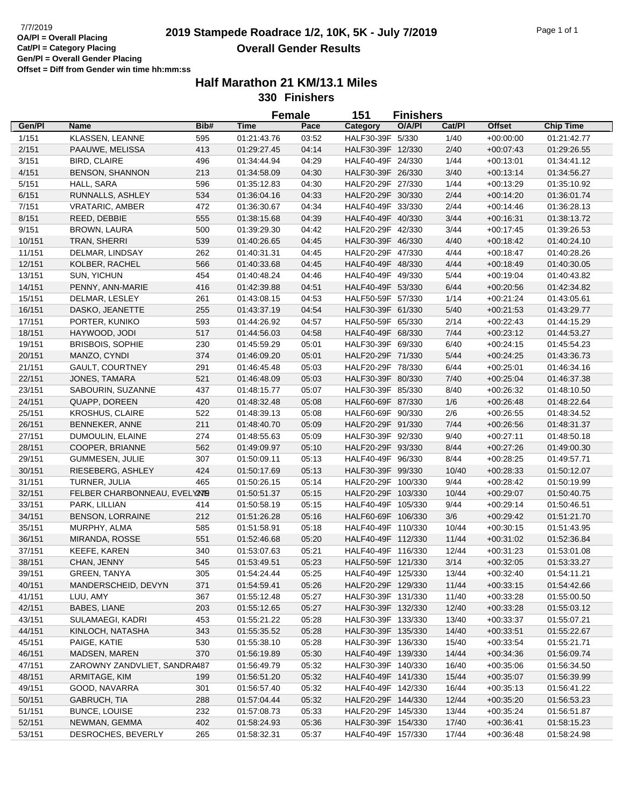# **2019 Stampede Roadrace 1/2, 10K, 5K - July 7/2019** 7/7/2019 Page 1 of 1 **Overall Gender Results**

|        |                                       |      |             | <b>Female</b> | 151                                      | <b>Finishers</b> |        |                            |                  |
|--------|---------------------------------------|------|-------------|---------------|------------------------------------------|------------------|--------|----------------------------|------------------|
| Gen/Pl | <b>Name</b>                           | Bib# | <b>Time</b> | Pace          | Category                                 | O/A/PI           | Cat/PI | <b>Offset</b>              | <b>Chip Time</b> |
| 1/151  | KLASSEN, LEANNE                       | 595  | 01:21:43.76 | 03:52         | HALF30-39F 5/330                         |                  | 1/40   | $+00:00:00$                | 01:21:42.77      |
| 2/151  | PAAUWE, MELISSA                       | 413  | 01:29:27.45 | 04:14         | HALF30-39F 12/330                        |                  | 2/40   | $+00:07:43$                | 01:29:26.55      |
| 3/151  | <b>BIRD, CLAIRE</b>                   | 496  | 01:34:44.94 | 04:29         | HALF40-49F 24/330                        |                  | 1/44   | $+00:13:01$                | 01:34:41.12      |
| 4/151  | <b>BENSON, SHANNON</b>                | 213  | 01:34:58.09 | 04:30         | HALF30-39F 26/330                        |                  | 3/40   | $+00:13:14$                | 01:34:56.27      |
| 5/151  | HALL, SARA                            | 596  | 01:35:12.83 | 04:30         | HALF20-29F 27/330                        |                  | 1/44   | $+00:13:29$                | 01:35:10.92      |
| 6/151  | RUNNALLS, ASHLEY                      | 534  | 01:36:04.16 | 04:33         | HALF20-29F 30/330                        |                  | 2/44   | $+00:14:20$                | 01:36:01.74      |
| 7/151  | <b>VRATARIC, AMBER</b>                | 472  | 01:36:30.67 | 04:34         | HALF40-49F 33/330                        |                  | 2/44   | $+00:14:46$                | 01:36:28.13      |
| 8/151  | REED, DEBBIE                          | 555  | 01:38:15.68 | 04:39         | HALF40-49F 40/330                        |                  | 3/44   | $+00:16:31$                | 01:38:13.72      |
| 9/151  | <b>BROWN, LAURA</b>                   | 500  | 01:39:29.30 | 04:42         | HALF20-29F 42/330                        |                  | 3/44   | $+00:17:45$                | 01:39:26.53      |
| 10/151 | TRAN, SHERRI                          | 539  | 01:40:26.65 | 04:45         | HALF30-39F 46/330                        |                  | 4/40   | $+00:18:42$                | 01:40:24.10      |
| 11/151 | DELMAR, LINDSAY                       | 262  | 01:40:31.31 | 04:45         | HALF20-29F 47/330                        |                  | 4/44   | $+00:18:47$                | 01:40:28.26      |
| 12/151 | KOLBER, RACHEL                        | 566  | 01:40:33.68 | 04:45         | HALF40-49F 48/330                        |                  | 4/44   | $+00:18:49$                | 01:40:30.05      |
| 13/151 | SUN, YICHUN                           | 454  | 01:40:48.24 | 04:46         | HALF40-49F 49/330                        |                  | 5/44   | $+00:19:04$                | 01:40:43.82      |
| 14/151 | PENNY, ANN-MARIE                      | 416  | 01:42:39.88 | 04:51         | HALF40-49F 53/330                        |                  | 6/44   | $+00:20:56$                | 01:42:34.82      |
| 15/151 | DELMAR, LESLEY                        | 261  | 01:43:08.15 | 04:53         | HALF50-59F 57/330                        |                  | 1/14   | $+00:21:24$                | 01:43:05.61      |
| 16/151 | DASKO, JEANETTE                       | 255  | 01:43:37.19 | 04:54         | HALF30-39F 61/330                        |                  | 5/40   | $+00:21:53$                | 01:43:29.77      |
| 17/151 | PORTER, KUNIKO                        | 593  | 01:44:26.92 | 04:57         | HALF50-59F 65/330                        |                  | 2/14   | $+00:22:43$                | 01:44:15.29      |
| 18/151 | HAYWOOD, JODI                         | 517  | 01:44:56.03 | 04:58         | HALF40-49F 68/330                        |                  | 7/44   | $+00:23:12$                | 01:44:53.27      |
| 19/151 | <b>BRISBOIS, SOPHIE</b>               | 230  | 01:45:59.29 | 05:01         | HALF30-39F 69/330                        |                  | 6/40   | $+00:24:15$                | 01:45:54.23      |
| 20/151 | MANZO, CYNDI                          | 374  | 01:46:09.20 | 05:01         | HALF20-29F 71/330                        |                  | 5/44   | $+00:24:25$                | 01:43:36.73      |
| 21/151 | <b>GAULT, COURTNEY</b>                | 291  | 01:46:45.48 | 05:03         | HALF20-29F 78/330                        |                  | 6/44   | $+00:25:01$                | 01:46:34.16      |
| 22/151 | JONES, TAMARA                         | 521  | 01:46:48.09 | 05:03         | HALF30-39F 80/330                        |                  | 7/40   | $+00:25:04$                | 01:46:37.38      |
| 23/151 | SABOURIN, SUZANNE                     | 437  | 01:48:15.77 | 05:07         | HALF30-39F 85/330                        |                  | 8/40   | $+00:26:32$                | 01:48:10.50      |
| 24/151 | QUAPP, DOREEN                         | 420  | 01:48:32.48 | 05:08         | HALF60-69F 87/330                        |                  | 1/6    | $+00:26:48$                | 01:48:22.64      |
| 25/151 | <b>KROSHUS, CLAIRE</b>                | 522  | 01:48:39.13 | 05:08         | HALF60-69F 90/330                        |                  | 2/6    | $+00:26:55$                | 01:48:34.52      |
| 26/151 | BENNEKER, ANNE                        | 211  | 01:48:40.70 | 05:09         | HALF20-29F 91/330                        |                  | 7/44   | $+00:26:56$                | 01:48:31.37      |
| 27/151 | DUMOULIN, ELAINE                      | 274  | 01:48:55.63 | 05:09         | HALF30-39F 92/330                        |                  | 9/40   | $+00:27:11$                | 01:48:50.18      |
| 28/151 | COOPER, BRIANNE                       | 562  | 01:49:09.97 | 05:10         | HALF20-29F 93/330                        |                  | 8/44   | $+00:27:26$                | 01:49:00.30      |
| 29/151 | GUMMESEN, JULIE                       | 307  | 01:50:09.11 | 05:13         | HALF40-49F 96/330                        |                  | 8/44   | $+00:28:25$                | 01:49:57.71      |
| 30/151 | RIESEBERG, ASHLEY                     | 424  | 01:50:17.69 | 05:13         | HALF30-39F 99/330                        |                  | 10/40  | $+00:28:33$                | 01:50:12.07      |
| 31/151 | TURNER, JULIA                         | 465  | 01:50:26.15 | 05:14         | HALF20-29F 100/330                       |                  | 9/44   | $+00:28:42$                | 01:50:19.99      |
| 32/151 | FELBER CHARBONNEAU, EVELYING          |      | 01:50:51.37 | 05:15         | HALF20-29F 103/330                       |                  | 10/44  | $+00:29:07$                | 01:50:40.75      |
| 33/151 | PARK, LILLIAN                         | 414  | 01:50:58.19 | 05:15         | HALF40-49F 105/330                       |                  | 9/44   | $+00:29:14$                | 01:50:46.51      |
| 34/151 | <b>BENSON, LORRAINE</b>               | 212  | 01:51:26.28 | 05:16         | HALF60-69F 106/330                       |                  | 3/6    | $+00:29:42$                | 01:51:21.70      |
| 35/151 | MURPHY, ALMA                          | 585  | 01:51:58.91 | 05:18         | HALF40-49F 110/330                       |                  | 10/44  | $+00:30:15$                | 01:51:43.95      |
| 36/151 |                                       | 551  | 01:52:46.68 | 05:20         | HALF40-49F 112/330                       |                  | 11/44  |                            | 01:52:36.84      |
| 37/151 | MIRANDA, ROSSE<br><b>KEEFE, KAREN</b> | 340  | 01:53:07.63 | 05:21         | HALF40-49F 116/330                       |                  | 12/44  | $+00:31:02$<br>$+00:31:23$ |                  |
|        |                                       | 545  | 01:53:49.51 |               |                                          |                  | 3/14   |                            | 01:53:01.08      |
| 38/151 | CHAN, JENNY                           |      |             | 05:23         | HALF50-59F 121/330                       |                  |        | $+00:32:05$                | 01:53:33.27      |
| 39/151 | GREEN, TANYA                          | 305  | 01:54:24.44 | 05:25         | HALF40-49F 125/330<br>HALF20-29F 129/330 |                  | 13/44  | $+00:32:40$                | 01:54:11.21      |
| 40/151 | MANDERSCHEID, DEVYN                   | 371  | 01:54:59.41 | 05:26         | HALF30-39F 131/330                       |                  | 11/44  | $+00:33:15$                | 01:54:42.66      |
| 41/151 | LUU, AMY                              | 367  | 01:55:12.48 | 05:27         |                                          |                  | 11/40  | $+00:33:28$                | 01:55:00.50      |
| 42/151 | BABES, LIANE                          | 203  | 01:55:12.65 | 05:27         | HALF30-39F 132/330                       |                  | 12/40  | $+00:33:28$                | 01:55:03.12      |
| 43/151 | SULAMAEGI, KADRI                      | 453  | 01:55:21.22 | 05:28         | HALF30-39F 133/330                       |                  | 13/40  | $+00:33:37$                | 01:55:07.21      |
| 44/151 | KINLOCH, NATASHA                      | 343  | 01:55:35.52 | 05:28         | HALF30-39F 135/330                       |                  | 14/40  | $+00:33:51$                | 01:55:22.67      |
| 45/151 | PAIGE, KATIE                          | 530  | 01:55:38.10 | 05:28         | HALF30-39F 136/330                       |                  | 15/40  | $+00:33:54$                | 01:55:21.71      |
| 46/151 | MADSEN, MAREN                         | 370  | 01:56:19.89 | 05:30         | HALF40-49F 139/330                       |                  | 14/44  | $+00:34:36$                | 01:56:09.74      |
| 47/151 | ZAROWNY ZANDVLIET, SANDRA487          |      | 01:56:49.79 | 05:32         | HALF30-39F 140/330                       |                  | 16/40  | $+00:35:06$                | 01:56:34.50      |
| 48/151 | ARMITAGE, KIM                         | 199  | 01:56:51.20 | 05:32         | HALF40-49F 141/330                       |                  | 15/44  | $+00:35:07$                | 01:56:39.99      |
| 49/151 | GOOD, NAVARRA                         | 301  | 01:56:57.40 | 05:32         | HALF40-49F 142/330                       |                  | 16/44  | $+00:35:13$                | 01:56:41.22      |
| 50/151 | GABRUCH, TIA                          | 288  | 01:57:04.44 | 05:32         | HALF20-29F 144/330                       |                  | 12/44  | $+00:35:20$                | 01:56:53.23      |
| 51/151 | <b>BUNCE, LOUISE</b>                  | 232  | 01:57:08.73 | 05:33         | HALF20-29F 145/330                       |                  | 13/44  | $+00:35:24$                | 01:56:51.87      |
| 52/151 | NEWMAN, GEMMA                         | 402  | 01:58:24.93 | 05:36         | HALF30-39F 154/330                       |                  | 17/40  | $+00:36:41$                | 01:58:15.23      |
| 53/151 | DESROCHES, BEVERLY                    | 265  | 01:58:32.31 | 05:37         | HALF40-49F 157/330                       |                  | 17/44  | $+00:36:48$                | 01:58:24.98      |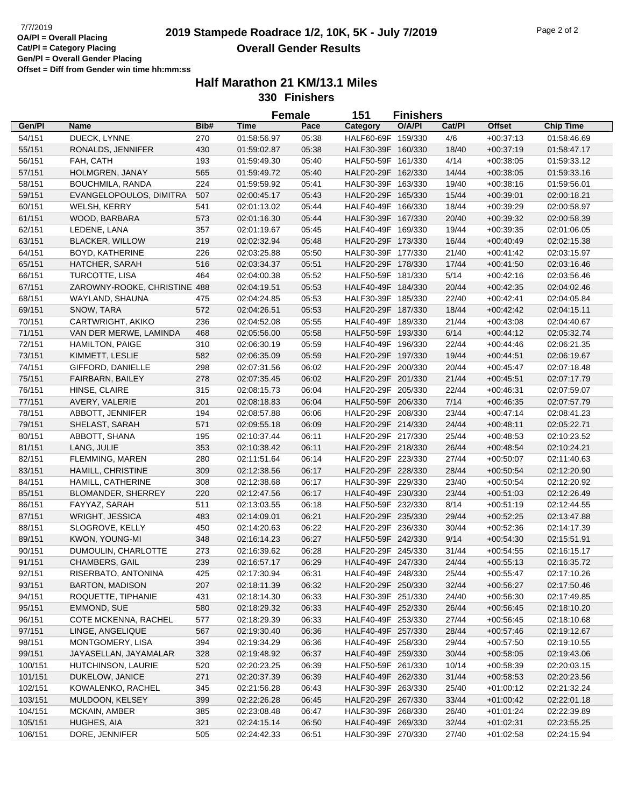# **2019 Stampede Roadrace 1/2, 10K, 5K - July 7/2019** 7/7/2019 Page 2 of 2 **Overall Gender Results**

|         |                              |      |             | <b>Female</b> | 151                | <b>Finishers</b> |        |               |                  |
|---------|------------------------------|------|-------------|---------------|--------------------|------------------|--------|---------------|------------------|
| Gen/Pl  | Name                         | Bib# | <b>Time</b> | Pace          | Category           | O/A/PI           | Cat/Pl | <b>Offset</b> | <b>Chip Time</b> |
| 54/151  | DUECK, LYNNE                 | 270  | 01:58:56.97 | 05:38         | HALF60-69F 159/330 |                  | 4/6    | $+00:37:13$   | 01:58:46.69      |
| 55/151  | RONALDS, JENNIFER            | 430  | 01:59:02.87 | 05:38         | HALF30-39F 160/330 |                  | 18/40  | $+00:37:19$   | 01:58:47.17      |
| 56/151  | FAH, CATH                    | 193  | 01:59:49.30 | 05:40         | HALF50-59F 161/330 |                  | 4/14   | $+00:38:05$   | 01:59:33.12      |
| 57/151  | HOLMGREN, JANAY              | 565  | 01:59:49.72 | 05:40         | HALF20-29F 162/330 |                  | 14/44  | $+00:38:05$   | 01:59:33.16      |
| 58/151  | <b>BOUCHMILA, RANDA</b>      | 224  | 01:59:59.92 | 05:41         | HALF30-39F 163/330 |                  | 19/40  | $+00:38:16$   | 01:59:56.01      |
| 59/151  | EVANGELOPOULOS, DIMITRA      | 507  | 02:00:45.17 | 05:43         | HALF20-29F 165/330 |                  | 15/44  | $+00:39:01$   | 02:00:18.21      |
| 60/151  | WELSH, KERRY                 | 541  | 02:01:13.02 | 05:44         | HALF40-49F 166/330 |                  | 18/44  | $+00:39:29$   | 02:00:58.97      |
| 61/151  | WOOD, BARBARA                | 573  | 02:01:16.30 | 05:44         | HALF30-39F 167/330 |                  | 20/40  | $+00:39:32$   | 02:00:58.39      |
| 62/151  | LEDENE, LANA                 | 357  | 02:01:19.67 | 05:45         | HALF40-49F 169/330 |                  | 19/44  | $+00:39:35$   | 02:01:06.05      |
| 63/151  | <b>BLACKER, WILLOW</b>       | 219  | 02:02:32.94 | 05:48         | HALF20-29F 173/330 |                  | 16/44  | $+00:40:49$   | 02:02:15.38      |
| 64/151  | BOYD, KATHERINE              | 226  | 02:03:25.88 | 05:50         | HALF30-39F 177/330 |                  | 21/40  | $+00.41:42$   | 02:03:15.97      |
| 65/151  | HATCHER, SARAH               | 516  | 02:03:34.37 | 05:51         | HALF20-29F 178/330 |                  | 17/44  | $+00:41:50$   | 02:03:16.46      |
| 66/151  | TURCOTTE, LISA               | 464  | 02:04:00.38 | 05:52         | HALF50-59F 181/330 |                  | 5/14   | $+00:42:16$   | 02:03:56.46      |
| 67/151  | ZAROWNY-ROOKE, CHRISTINE 488 |      | 02:04:19.51 | 05:53         | HALF40-49F 184/330 |                  | 20/44  | $+00:42:35$   | 02:04:02.46      |
| 68/151  | WAYLAND, SHAUNA              | 475  | 02:04:24.85 | 05:53         | HALF30-39F 185/330 |                  | 22/40  | $+00:42:41$   | 02:04:05.84      |
| 69/151  | SNOW, TARA                   | 572  | 02:04:26.51 | 05:53         | HALF20-29F 187/330 |                  | 18/44  | $+00:42:42$   | 02:04:15.11      |
| 70/151  | CARTWRIGHT, AKIKO            | 236  | 02:04:52.08 | 05:55         | HALF40-49F 189/330 |                  | 21/44  | $+00:43:08$   | 02:04:40.67      |
| 71/151  | VAN DER MERWE, LAMINDA       | 468  |             | 05:58         | HALF50-59F 193/330 |                  | 6/14   | $+00:44:12$   | 02:05:32.74      |
|         |                              |      | 02:05:56.00 |               |                    |                  |        |               |                  |
| 72/151  | <b>HAMILTON, PAIGE</b>       | 310  | 02:06:30.19 | 05:59         | HALF40-49F 196/330 |                  | 22/44  | $+00:44:46$   | 02:06:21.35      |
| 73/151  | KIMMETT, LESLIE              | 582  | 02:06:35.09 | 05:59         | HALF20-29F 197/330 |                  | 19/44  | $+00:44:51$   | 02:06:19.67      |
| 74/151  | GIFFORD, DANIELLE            | 298  | 02:07:31.56 | 06:02         | HALF20-29F 200/330 |                  | 20/44  | $+00:45:47$   | 02:07:18.48      |
| 75/151  | FAIRBARN, BAILEY             | 278  | 02:07:35.45 | 06:02         | HALF20-29F 201/330 |                  | 21/44  | $+00:45:51$   | 02:07:17.79      |
| 76/151  | HINSE, CLAIRE                | 315  | 02:08:15.73 | 06:04         | HALF20-29F 205/330 |                  | 22/44  | $+00:46:31$   | 02:07:59.07      |
| 77/151  | AVERY, VALERIE               | 201  | 02:08:18.83 | 06:04         | HALF50-59F 206/330 |                  | 7/14   | $+00:46:35$   | 02:07:57.79      |
| 78/151  | ABBOTT, JENNIFER             | 194  | 02:08:57.88 | 06:06         | HALF20-29F 208/330 |                  | 23/44  | $+00:47:14$   | 02:08:41.23      |
| 79/151  | SHELAST, SARAH               | 571  | 02:09:55.18 | 06:09         | HALF20-29F 214/330 |                  | 24/44  | $+00:48:11$   | 02:05:22.71      |
| 80/151  | ABBOTT, SHANA                | 195  | 02:10:37.44 | 06:11         | HALF20-29F 217/330 |                  | 25/44  | $+00:48:53$   | 02:10:23.52      |
| 81/151  | LANG, JULIE                  | 353  | 02:10:38.42 | 06:11         | HALF20-29F 218/330 |                  | 26/44  | $+00:48:54$   | 02:10:24.21      |
| 82/151  | FLEMMING, MAREN              | 280  | 02:11:51.64 | 06:14         | HALF20-29F 223/330 |                  | 27/44  | $+00:50:07$   | 02:11:40.63      |
| 83/151  | HAMILL, CHRISTINE            | 309  | 02:12:38.56 | 06:17         | HALF20-29F 228/330 |                  | 28/44  | $+00:50:54$   | 02:12:20.90      |
| 84/151  | HAMILL, CATHERINE            | 308  | 02:12:38.68 | 06:17         | HALF30-39F 229/330 |                  | 23/40  | $+00:50:54$   | 02:12:20.92      |
| 85/151  | BLOMANDER, SHERREY           | 220  | 02:12:47.56 | 06:17         | HALF40-49F 230/330 |                  | 23/44  | $+00:51:03$   | 02:12:26.49      |
| 86/151  | FAYYAZ, SARAH                | 511  | 02:13:03.55 | 06:18         | HALF50-59F 232/330 |                  | 8/14   | $+00:51:19$   | 02:12:44.55      |
| 87/151  | <b>WRIGHT, JESSICA</b>       | 483  | 02:14:09.01 | 06:21         | HALF20-29F 235/330 |                  | 29/44  | $+00:52:25$   | 02:13:47.88      |
| 88/151  | SLOGROVE, KELLY              | 450  | 02:14:20.63 | 06:22         | HALF20-29F 236/330 |                  | 30/44  | $+00:52:36$   | 02:14:17.39      |
| 89/151  | KWON, YOUNG-MI               | 348  | 02:16:14.23 | 06:27         | HALF50-59F 242/330 |                  | 9/14   | $+00:54:30$   | 02:15:51.91      |
| 90/151  | DUMOULIN, CHARLOTTE          | 273  | 02:16:39.62 | 06:28         | HALF20-29F 245/330 |                  | 31/44  | $+00:54:55$   | 02:16:15.17      |
| 91/151  | CHAMBERS, GAIL               | 239  | 02:16:57.17 | 06:29         | HALF40-49F 247/330 |                  | 24/44  | $+00.55:13$   | 02:16:35.72      |
| 92/151  | RISERBATO, ANTONINA          | 425  | 02:17:30.94 | 06:31         | HALF40-49F 248/330 |                  | 25/44  | $+00.55:47$   | 02:17:10.26      |
| 93/151  | <b>BARTON, MADISON</b>       | 207  | 02:18:11.39 | 06:32         | HALF20-29F 250/330 |                  | 32/44  | $+00:56:27$   | 02:17:50.46      |
| 94/151  | ROQUETTE, TIPHANIE           | 431  | 02:18:14.30 | 06:33         | HALF30-39F 251/330 |                  | 24/40  | $+00:56:30$   | 02:17:49.85      |
| 95/151  | EMMOND, SUE                  | 580  | 02:18:29.32 | 06:33         | HALF40-49F 252/330 |                  | 26/44  | $+00:56:45$   | 02:18:10.20      |
| 96/151  | COTE MCKENNA, RACHEL         | 577  | 02:18:29.39 | 06:33         | HALF40-49F 253/330 |                  | 27/44  | $+00:56:45$   | 02:18:10.68      |
| 97/151  | LINGE, ANGELIQUE             | 567  | 02:19:30.40 | 06:36         | HALF40-49F 257/330 |                  | 28/44  | $+00.57:46$   | 02:19:12.67      |
| 98/151  | MONTGOMERY, LISA             | 394  | 02:19:34.29 | 06:36         | HALF40-49F 258/330 |                  | 29/44  | $+00:57:50$   | 02:19:10.55      |
| 99/151  | JAYASELLAN, JAYAMALAR        | 328  | 02:19:48.92 | 06:37         | HALF40-49F 259/330 |                  | 30/44  | $+00:58:05$   | 02:19:43.06      |
| 100/151 | HUTCHINSON, LAURIE           | 520  | 02:20:23.25 | 06:39         | HALF50-59F 261/330 |                  | 10/14  | $+00.58.39$   | 02:20:03.15      |
| 101/151 | DUKELOW, JANICE              | 271  | 02:20:37.39 | 06:39         | HALF40-49F 262/330 |                  | 31/44  | $+00:58:53$   | 02:20:23.56      |
| 102/151 | KOWALENKO, RACHEL            | 345  | 02:21:56.28 | 06:43         | HALF30-39F 263/330 |                  | 25/40  | $+01:00:12$   | 02:21:32.24      |
| 103/151 | MULDOON, KELSEY              | 399  | 02:22:26.28 | 06:45         | HALF20-29F 267/330 |                  | 33/44  | $+01:00:42$   | 02:22:01.18      |
| 104/151 | MCKAIN, AMBER                | 385  | 02:23:08.48 | 06:47         | HALF30-39F 268/330 |                  | 26/40  | $+01:01:24$   | 02:22:39.89      |
| 105/151 | HUGHES, AIA                  | 321  | 02:24:15.14 | 06:50         | HALF40-49F 269/330 |                  | 32/44  | $+01:02:31$   | 02:23:55.25      |
| 106/151 | DORE, JENNIFER               | 505  | 02:24:42.33 | 06:51         | HALF30-39F 270/330 |                  | 27/40  | $+01:02:58$   | 02:24:15.94      |
|         |                              |      |             |               |                    |                  |        |               |                  |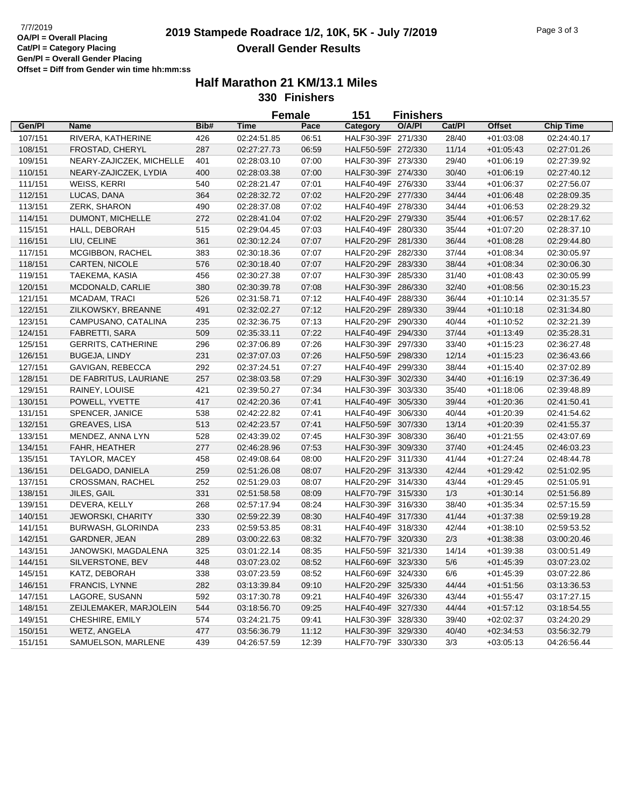# **2019 Stampede Roadrace 1/2, 10K, 5K - July 7/2019** 7/7/2019 Page 3 of 3 **Overall Gender Results**

|         |                           |      | <b>Female</b> |       | 151                | <b>Finishers</b> |        |             |                  |
|---------|---------------------------|------|---------------|-------|--------------------|------------------|--------|-------------|------------------|
| Gen/Pl  | <b>Name</b>               | Bib# | <b>Time</b>   | Pace  | Category           | O/A/PI           | Cat/PI | Offset      | <b>Chip Time</b> |
| 107/151 | RIVERA, KATHERINE         | 426  | 02:24:51.85   | 06:51 | HALF30-39F 271/330 |                  | 28/40  | $+01:03:08$ | 02:24:40.17      |
| 108/151 | FROSTAD, CHERYL           | 287  | 02:27:27.73   | 06:59 | HALF50-59F 272/330 |                  | 11/14  | $+01:05:43$ | 02:27:01.26      |
| 109/151 | NEARY-ZAJICZEK, MICHELLE  | 401  | 02:28:03.10   | 07:00 | HALF30-39F 273/330 |                  | 29/40  | $+01:06:19$ | 02:27:39.92      |
| 110/151 | NEARY-ZAJICZEK, LYDIA     | 400  | 02:28:03.38   | 07:00 | HALF30-39F 274/330 |                  | 30/40  | $+01:06:19$ | 02:27:40.12      |
| 111/151 | <b>WEISS, KERRI</b>       | 540  | 02:28:21.47   | 07:01 | HALF40-49F 276/330 |                  | 33/44  | $+01:06:37$ | 02:27:56.07      |
| 112/151 | LUCAS, DANA               | 364  | 02:28:32.72   | 07:02 | HALF20-29F 277/330 |                  | 34/44  | $+01:06:48$ | 02:28:09.35      |
| 113/151 | ZERK, SHARON              | 490  | 02:28:37.08   | 07:02 | HALF40-49F 278/330 |                  | 34/44  | $+01:06:53$ | 02:28:29.32      |
| 114/151 | DUMONT, MICHELLE          | 272  | 02:28:41.04   | 07:02 | HALF20-29F 279/330 |                  | 35/44  | $+01:06:57$ | 02:28:17.62      |
| 115/151 | HALL, DEBORAH             | 515  | 02:29:04.45   | 07:03 | HALF40-49F 280/330 |                  | 35/44  | $+01:07:20$ | 02:28:37.10      |
| 116/151 | LIU, CELINE               | 361  | 02:30:12.24   | 07:07 | HALF20-29F 281/330 |                  | 36/44  | $+01:08:28$ | 02:29:44.80      |
| 117/151 | MCGIBBON, RACHEL          | 383  | 02:30:18.36   | 07:07 | HALF20-29F 282/330 |                  | 37/44  | $+01:08:34$ | 02:30:05.97      |
| 118/151 | CARTEN, NICOLE            | 576  | 02:30:18.40   | 07:07 | HALF20-29F 283/330 |                  | 38/44  | $+01:08:34$ | 02:30:06.30      |
| 119/151 | TAEKEMA, KASIA            | 456  | 02:30:27.38   | 07:07 | HALF30-39F 285/330 |                  | 31/40  | $+01:08:43$ | 02:30:05.99      |
| 120/151 | MCDONALD, CARLIE          | 380  | 02:30:39.78   | 07:08 | HALF30-39F 286/330 |                  | 32/40  | $+01:08:56$ | 02:30:15.23      |
| 121/151 | MCADAM, TRACI             | 526  | 02:31:58.71   | 07:12 | HALF40-49F 288/330 |                  | 36/44  | $+01:10:14$ | 02:31:35.57      |
| 122/151 | ZILKOWSKY, BREANNE        | 491  | 02:32:02.27   | 07:12 | HALF20-29F 289/330 |                  | 39/44  | $+01:10:18$ | 02:31:34.80      |
| 123/151 | CAMPUSANO, CATALINA       | 235  | 02:32:36.75   | 07:13 | HALF20-29F 290/330 |                  | 40/44  | $+01:10:52$ | 02:32:21.39      |
| 124/151 | FABRETTI, SARA            | 509  | 02:35:33.11   | 07:22 | HALF40-49F 294/330 |                  | 37/44  | $+01:13:49$ | 02:35:28.31      |
| 125/151 | <b>GERRITS, CATHERINE</b> | 296  | 02:37:06.89   | 07:26 | HALF30-39F 297/330 |                  | 33/40  | $+01:15:23$ | 02:36:27.48      |
| 126/151 | <b>BUGEJA, LINDY</b>      | 231  | 02:37:07.03   | 07:26 | HALF50-59F 298/330 |                  | 12/14  | $+01:15:23$ | 02:36:43.66      |
| 127/151 | GAVIGAN, REBECCA          | 292  | 02:37:24.51   | 07:27 | HALF40-49F 299/330 |                  | 38/44  | $+01:15:40$ | 02:37:02.89      |
| 128/151 | DE FABRITUS, LAURIANE     | 257  | 02:38:03.58   | 07:29 | HALF30-39F 302/330 |                  | 34/40  | $+01:16:19$ | 02:37:36.49      |
| 129/151 | RAINEY, LOUISE            | 421  | 02:39:50.27   | 07:34 | HALF30-39F 303/330 |                  | 35/40  | $+01:18:06$ | 02:39:48.89      |
| 130/151 | POWELL, YVETTE            | 417  | 02:42:20.36   | 07:41 | HALF40-49F 305/330 |                  | 39/44  | $+01:20:36$ | 02:41:50.41      |
| 131/151 | SPENCER, JANICE           | 538  | 02:42:22.82   | 07:41 | HALF40-49F 306/330 |                  | 40/44  | +01:20:39   | 02:41:54.62      |
| 132/151 | <b>GREAVES, LISA</b>      | 513  | 02:42:23.57   | 07:41 | HALF50-59F 307/330 |                  | 13/14  | $+01:20:39$ | 02:41:55.37      |
| 133/151 | MENDEZ, ANNA LYN          | 528  | 02:43:39.02   | 07:45 | HALF30-39F 308/330 |                  | 36/40  | $+01:21:55$ | 02:43:07.69      |
| 134/151 | FAHR, HEATHER             | 277  | 02:46:28.96   | 07:53 | HALF30-39F 309/330 |                  | 37/40  | $+01:24:45$ | 02:46:03.23      |
| 135/151 | TAYLOR, MACEY             | 458  | 02:49:08.64   | 08:00 | HALF20-29F 311/330 |                  | 41/44  | $+01:27:24$ | 02:48:44.78      |
| 136/151 | DELGADO, DANIELA          | 259  | 02:51:26.08   | 08:07 | HALF20-29F 313/330 |                  | 42/44  | $+01:29:42$ | 02:51:02.95      |
| 137/151 | CROSSMAN, RACHEL          | 252  | 02:51:29.03   | 08:07 | HALF20-29F 314/330 |                  | 43/44  | $+01:29:45$ | 02:51:05.91      |
| 138/151 | JILES, GAIL               | 331  | 02:51:58.58   | 08:09 | HALF70-79F 315/330 |                  | 1/3    | $+01:30:14$ | 02:51:56.89      |
| 139/151 | DEVERA, KELLY             | 268  | 02:57:17.94   | 08:24 | HALF30-39F 316/330 |                  | 38/40  | $+01:35:34$ | 02:57:15.59      |
| 140/151 | <b>JEWORSKI, CHARITY</b>  | 330  | 02:59:22.39   | 08:30 | HALF40-49F 317/330 |                  | 41/44  | $+01:37:38$ | 02:59:19.28      |
| 141/151 | BURWASH, GLORINDA         | 233  | 02:59:53.85   | 08:31 | HALF40-49F 318/330 |                  | 42/44  | $+01:38:10$ | 02:59:53.52      |
| 142/151 | GARDNER, JEAN             | 289  | 03:00:22.63   | 08:32 | HALF70-79F 320/330 |                  | 2/3    | $+01:38:38$ | 03:00:20.46      |
| 143/151 | JANOWSKI, MAGDALENA       | 325  | 03:01:22.14   | 08:35 | HALF50-59F 321/330 |                  | 14/14  | +01:39:38   | 03:00:51.49      |
| 144/151 | SILVERSTONE, BEV          | 448  | 03:07:23.02   | 08:52 | HALF60-69F 323/330 |                  | 5/6    | $+01.45.39$ | 03:07:23.02      |
| 145/151 | KATZ, DEBORAH             | 338  | 03:07:23.59   | 08:52 | HALF60-69F 324/330 |                  | 6/6    | $+01:45:39$ | 03:07:22.86      |
| 146/151 | <b>FRANCIS, LYNNE</b>     | 282  | 03:13:39.84   | 09:10 | HALF20-29F 325/330 |                  | 44/44  | $+01:51:56$ | 03:13:36.53      |
| 147/151 | LAGORE, SUSANN            | 592  | 03:17:30.78   | 09:21 | HALF40-49F 326/330 |                  | 43/44  | $+01:55:47$ | 03:17:27.15      |
| 148/151 | ZEIJLEMAKER, MARJOLEIN    | 544  | 03:18:56.70   | 09:25 | HALF40-49F 327/330 |                  | 44/44  | $+01:57:12$ | 03:18:54.55      |
| 149/151 | CHESHIRE, EMILY           | 574  | 03:24:21.75   | 09:41 | HALF30-39F 328/330 |                  | 39/40  | $+02:02:37$ | 03:24:20.29      |
| 150/151 | WETZ, ANGELA              | 477  | 03:56:36.79   | 11:12 | HALF30-39F 329/330 |                  | 40/40  | $+02:34:53$ | 03:56:32.79      |
| 151/151 | SAMUELSON, MARLENE        | 439  | 04:26:57.59   | 12:39 | HALF70-79F 330/330 |                  | 3/3    | $+03:05:13$ | 04:26:56.44      |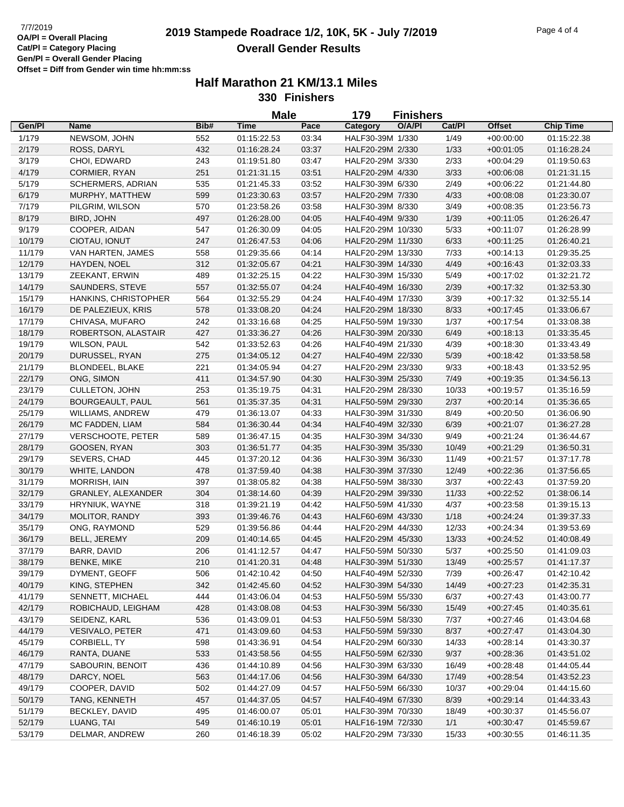### **2019 Stampede Roadrace 1/2, 10K, 5K - July 7/2019** 7/7/2019 Page 4 of 4 **Overall Gender Results**

|        |                                   |            | <b>Male</b>                |                | 179               | <b>Finishers</b> |        |                            |                            |
|--------|-----------------------------------|------------|----------------------------|----------------|-------------------|------------------|--------|----------------------------|----------------------------|
| Gen/Pl | <b>Name</b>                       | Bib#       | <b>Time</b>                | Pace           | Category          | O/A/PI           | Cat/Pl | <b>Offset</b>              | <b>Chip Time</b>           |
| 1/179  | NEWSOM, JOHN                      | 552        | 01:15:22.53                | 03:34          | HALF30-39M 1/330  |                  | 1/49   | $+00:00:00$                | 01:15:22.38                |
| 2/179  | ROSS, DARYL                       | 432        | 01:16:28.24                | 03:37          | HALF20-29M 2/330  |                  | 1/33   | $+00:01:05$                | 01:16:28.24                |
| 3/179  | CHOI, EDWARD                      | 243        | 01:19:51.80                | 03:47          | HALF20-29M 3/330  |                  | 2/33   | $+00:04:29$                | 01:19:50.63                |
| 4/179  | CORMIER, RYAN                     | 251        | 01:21:31.15                | 03:51          | HALF20-29M 4/330  |                  | 3/33   | $+00:06:08$                | 01:21:31.15                |
| 5/179  | SCHERMERS, ADRIAN                 | 535        | 01:21:45.33                | 03:52          | HALF30-39M 6/330  |                  | 2/49   | $+00:06:22$                | 01:21:44.80                |
| 6/179  | MURPHY, MATTHEW                   | 599        | 01:23:30.63                | 03:57          | HALF20-29M 7/330  |                  | 4/33   | $+00:08:08$                | 01:23:30.07                |
| 7/179  | PILGRIM, WILSON                   | 570        | 01:23:58.26                | 03:58          | HALF30-39M 8/330  |                  | 3/49   | $+00:08:35$                | 01:23:56.73                |
| 8/179  | BIRD, JOHN                        | 497        | 01:26:28.00                | 04:05          | HALF40-49M 9/330  |                  | 1/39   | $+00:11:05$                | 01:26:26.47                |
| 9/179  | COOPER, AIDAN                     | 547        | 01:26:30.09                | 04:05          | HALF20-29M 10/330 |                  | 5/33   | $+00:11:07$                | 01:26:28.99                |
| 10/179 | CIOTAU, IONUT                     | 247        | 01:26:47.53                | 04:06          | HALF20-29M 11/330 |                  | 6/33   | $+00:11:25$                | 01:26:40.21                |
| 11/179 | VAN HARTEN, JAMES                 | 558        | 01:29:35.66                | 04:14          | HALF20-29M 13/330 |                  | 7/33   | $+00:14:13$                | 01:29:35.25                |
| 12/179 | HAYDEN, NOEL                      | 312        | 01:32:05.67                | 04:21          | HALF30-39M 14/330 |                  | 4/49   | $+00:16:43$                | 01:32:03.33                |
| 13/179 | ZEEKANT, ERWIN                    | 489        | 01:32:25.15                | 04:22          | HALF30-39M 15/330 |                  | 5/49   | $+00:17:02$                | 01:32:21.72                |
| 14/179 | SAUNDERS, STEVE                   | 557        | 01:32:55.07                | 04:24          | HALF40-49M 16/330 |                  | 2/39   | $+00:17:32$                | 01:32:53.30                |
| 15/179 | HANKINS, CHRISTOPHER              | 564        | 01:32:55.29                | 04:24          | HALF40-49M 17/330 |                  | 3/39   | $+00:17:32$                | 01:32:55.14                |
| 16/179 | DE PALEZIEUX, KRIS                | 578        | 01:33:08.20                | 04:24          | HALF20-29M 18/330 |                  | 8/33   | $+00:17:45$                | 01:33:06.67                |
| 17/179 | CHIVASA, MUFARO                   | 242        | 01:33:16.68                | 04:25          | HALF50-59M 19/330 |                  | 1/37   | $+00:17:54$                | 01:33:08.38                |
| 18/179 | ROBERTSON, ALASTAIR               | 427        | 01:33:36.27                | 04:26          | HALF30-39M 20/330 |                  | 6/49   | $+00:18:13$                | 01:33:35.45                |
| 19/179 | <b>WILSON, PAUL</b>               | 542        | 01:33:52.63                | 04:26          | HALF40-49M 21/330 |                  | 4/39   | $+00:18:30$                | 01:33:43.49                |
| 20/179 | DURUSSEL, RYAN                    | 275        | 01:34:05.12                | 04:27          | HALF40-49M 22/330 |                  | 5/39   | $+00:18:42$                | 01:33:58.58                |
| 21/179 | <b>BLONDEEL, BLAKE</b>            | 221        | 01:34:05.94                | 04:27          | HALF20-29M 23/330 |                  | 9/33   | $+00:18:43$                | 01:33:52.95                |
| 22/179 | ONG, SIMON                        | 411        | 01:34:57.90                | 04:30          | HALF30-39M 25/330 |                  | 7/49   | $+00:19:35$                | 01:34:56.13                |
| 23/179 | <b>CULLETON, JOHN</b>             | 253        | 01:35:19.75                | 04:31          | HALF20-29M 28/330 |                  | 10/33  | $+00:19:57$                | 01:35:16.59                |
| 24/179 | <b>BOURGEAULT, PAUL</b>           | 561        | 01:35:37.35                | 04:31          | HALF50-59M 29/330 |                  | 2/37   | $+00:20:14$                | 01:35:36.65                |
| 25/179 | WILLIAMS, ANDREW                  | 479        | 01:36:13.07                | 04:33          | HALF30-39M 31/330 |                  | 8/49   | $+00:20:50$                | 01:36:06.90                |
| 26/179 | MC FADDEN, LIAM                   | 584        | 01:36:30.44                | 04:34          | HALF40-49M 32/330 |                  | 6/39   | $+00:21:07$                | 01:36:27.28                |
| 27/179 | <b>VERSCHOOTE, PETER</b>          | 589        |                            | 04:35          | HALF30-39M 34/330 |                  | 9/49   |                            | 01:36:44.67                |
| 28/179 | GOOSEN, RYAN                      | 303        | 01:36:47.15<br>01:36:51.77 |                | HALF30-39M 35/330 |                  | 10/49  | $+00:21:24$<br>$+00:21:29$ |                            |
| 29/179 | SEVERS, CHAD                      | 445        | 01:37:20.12                | 04:35<br>04:36 | HALF30-39M 36/330 |                  | 11/49  | $+00:21:57$                | 01:36:50.31<br>01:37:17.78 |
| 30/179 | WHITE, LANDON                     | 478        | 01:37:59.40                | 04:38          | HALF30-39M 37/330 |                  | 12/49  |                            | 01:37:56.65                |
| 31/179 | MORRISH, IAIN                     | 397        |                            | 04:38          | HALF50-59M 38/330 |                  | 3/37   | $+00:22:36$                |                            |
| 32/179 | GRANLEY, ALEXANDER                | 304        | 01:38:05.82<br>01:38:14.60 | 04:39          | HALF20-29M 39/330 |                  | 11/33  | $+00:22:43$<br>$+00:22:52$ | 01:37:59.20<br>01:38:06.14 |
| 33/179 | HRYNIUK, WAYNE                    | 318        | 01:39:21.19                | 04:42          | HALF50-59M 41/330 |                  | 4/37   | $+00:23:58$                | 01:39:15.13                |
|        |                                   |            |                            |                |                   |                  |        |                            |                            |
| 34/179 | MOLITOR, RANDY<br>ONG, RAYMOND    | 393        | 01:39:46.76                | 04:43          | HALF60-69M 43/330 |                  | 1/18   | $+00:24:24$                | 01:39:37.33                |
| 35/179 |                                   | 529        | 01:39:56.86                | 04:44          | HALF20-29M 44/330 |                  | 12/33  | $+00:24:34$                | 01:39:53.69                |
| 36/179 | BELL, JEREMY                      | 209        | 01:40:14.65                | 04:45          | HALF20-29M 45/330 |                  | 13/33  | $+00:24:52$                | 01:40:08.49                |
| 37/179 | BARR, DAVID<br><b>BENKE, MIKE</b> | 206<br>210 | 01:41:12.57                | 04:47          | HALF50-59M 50/330 |                  | 5/37   | $+00:25:50$                | 01:41:09.03                |
| 38/179 |                                   |            | 01:41:20.31                | 04:48          | HALF30-39M 51/330 |                  | 13/49  | $+00:25:57$                | 01:41:17.37                |
| 39/179 | DYMENT, GEOFF                     | 506        | 01:42:10.42                | 04:50          | HALF40-49M 52/330 |                  | 7/39   | $+00:26:47$                | 01:42:10.42                |
| 40/179 | KING, STEPHEN                     | 342        | 01:42:45.60                | 04:52          | HALF30-39M 54/330 |                  | 14/49  | $+00:27:23$                | 01:42:35.31                |
| 41/179 | <b>SENNETT, MICHAEL</b>           | 444        | 01:43:06.04                | 04:53          | HALF50-59M 55/330 |                  | 6/37   | $+00:27:43$                | 01:43:00.77                |
| 42/179 | ROBICHAUD, LEIGHAM                | 428        | 01:43:08.08                | 04:53          | HALF30-39M 56/330 |                  | 15/49  | $+00:27:45$                | 01:40:35.61                |
| 43/179 | SEIDENZ, KARL                     | 536        | 01:43:09.01                | 04:53          | HALF50-59M 58/330 |                  | 7/37   | $+00:27:46$                | 01:43:04.68                |
| 44/179 | VESIVALO, PETER                   | 471        | 01:43:09.60                | 04:53          | HALF50-59M 59/330 |                  | 8/37   | $+00.27:47$                | 01:43:04.30                |
| 45/179 | CORBIELL, TY                      | 598        | 01:43:36.91                | 04:54          | HALF20-29M 60/330 |                  | 14/33  | $+00:28:14$                | 01:43:30.37                |
| 46/179 | RANTA, DUANE                      | 533        | 01:43:58.56                | 04:55          | HALF50-59M 62/330 |                  | 9/37   | $+00:28:36$                | 01:43:51.02                |
| 47/179 | SABOURIN, BENOIT                  | 436        | 01:44:10.89                | 04:56          | HALF30-39M 63/330 |                  | 16/49  | $+00:28:48$                | 01:44:05.44                |
| 48/179 | DARCY, NOEL                       | 563        | 01:44:17.06                | 04:56          | HALF30-39M 64/330 |                  | 17/49  | $+00:28:54$                | 01:43:52.23                |
| 49/179 | COOPER, DAVID                     | 502        | 01:44:27.09                | 04:57          | HALF50-59M 66/330 |                  | 10/37  | $+00:29:04$                | 01:44:15.60                |
| 50/179 | TANG, KENNETH                     | 457        | 01:44:37.05                | 04:57          | HALF40-49M 67/330 |                  | 8/39   | $+00.29:14$                | 01:44:33.43                |
| 51/179 | BECKLEY, DAVID                    | 495        | 01:46:00.07                | 05:01          | HALF30-39M 70/330 |                  | 18/49  | $+00:30:37$                | 01:45:56.07                |
| 52/179 | LUANG, TAI                        | 549        | 01:46:10.19                | 05:01          | HALF16-19M 72/330 |                  | 1/1    | $+00.30.47$                | 01:45:59.67                |
| 53/179 | DELMAR, ANDREW                    | 260        | 01:46:18.39                | 05:02          | HALF20-29M 73/330 |                  | 15/33  | $+00:30:55$                | 01:46:11.35                |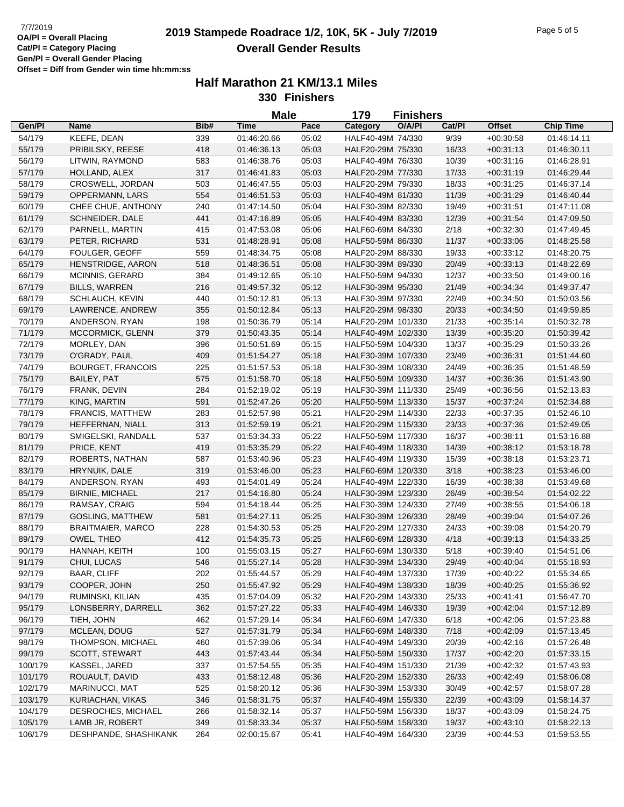# **2019 Stampede Roadrace 1/2, 10K, 5K - July 7/2019** 7/7/2019 Page 5 of 5 **Overall Gender Results**

|                  |                             |            | <b>Male</b>                |       | 179                                      | <b>Finishers</b> |               |                            |                  |
|------------------|-----------------------------|------------|----------------------------|-------|------------------------------------------|------------------|---------------|----------------------------|------------------|
| Gen/Pl           | <b>Name</b>                 | Bib#       | <b>Time</b>                | Pace  | Category                                 | O/A/PI           | Cat/PI        | <b>Offset</b>              | <b>Chip Time</b> |
| 54/179           | KEEFE, DEAN                 | 339        | 01:46:20.66                | 05:02 | HALF40-49M 74/330                        |                  | 9/39          | $+00:30:58$                | 01:46:14.11      |
| 55/179           | PRIBILSKY, REESE            | 418        | 01:46:36.13                | 05:03 | HALF20-29M 75/330                        |                  | 16/33         | $+00:31:13$                | 01:46:30.11      |
| 56/179           | LITWIN, RAYMOND             | 583        | 01:46:38.76                | 05:03 | HALF40-49M 76/330                        |                  | 10/39         | $+00:31:16$                | 01:46:28.91      |
| 57/179           | HOLLAND, ALEX               | 317        | 01:46:41.83                | 05:03 | HALF20-29M 77/330                        |                  | 17/33         | $+00:31:19$                | 01:46:29.44      |
| 58/179           | CROSWELL, JORDAN            | 503        | 01:46:47.55                | 05:03 | HALF20-29M 79/330                        |                  | 18/33         | $+00:31:25$                | 01:46:37.14      |
| 59/179           | OPPERMANN, LARS             | 554        | 01:46:51.53                | 05:03 | HALF40-49M 81/330                        |                  | 11/39         | $+00:31:29$                | 01:46:40.44      |
| 60/179           | CHEE CHUE, ANTHONY          | 240        | 01:47:14.50                | 05:04 | HALF30-39M 82/330                        |                  | 19/49         | $+00:31:51$                | 01:47:11.08      |
| 61/179           | <b>SCHNEIDER, DALE</b>      | 441        | 01:47:16.89                | 05:05 | HALF40-49M 83/330                        |                  | 12/39         | $+00:31:54$                | 01:47:09.50      |
| 62/179           | PARNELL, MARTIN             | 415        | 01:47:53.08                | 05:06 | HALF60-69M 84/330                        |                  | 2/18          | $+00:32:30$                | 01:47:49.45      |
| 63/179           | PETER, RICHARD              | 531        | 01:48:28.91                | 05:08 | HALF50-59M 86/330                        |                  | 11/37         | $+00:33:06$                | 01:48:25.58      |
| 64/179           | FOULGER, GEOFF              | 559        | 01:48:34.75                | 05:08 | HALF20-29M 88/330                        |                  | 19/33         | $+00:33:12$                | 01:48:20.75      |
| 65/179           | HENSTRIDGE, AARON           | 518        | 01:48:36.51                | 05:08 | HALF30-39M 89/330                        |                  | 20/49         | $+00:33:13$                | 01:48:22.69      |
| 66/179           | <b>MCINNIS, GERARD</b>      | 384        | 01:49:12.65                | 05:10 | HALF50-59M 94/330                        |                  | 12/37         | $+00:33:50$                | 01:49:00.16      |
| 67/179           | <b>BILLS, WARREN</b>        | 216        | 01:49:57.32                | 05:12 | HALF30-39M 95/330                        |                  | 21/49         | $+00:34:34$                | 01:49:37.47      |
| 68/179           | SCHLAUCH, KEVIN             | 440        | 01:50:12.81                | 05:13 | HALF30-39M 97/330                        |                  | 22/49         | $+00:34:50$                | 01:50:03.56      |
| 69/179           | LAWRENCE, ANDREW            | 355        | 01:50:12.84                | 05:13 | HALF20-29M 98/330                        |                  | 20/33         | $+00:34:50$                | 01:49:59.85      |
| 70/179           | ANDERSON, RYAN              | 198        | 01:50:36.79                | 05:14 | HALF20-29M 101/330                       |                  | 21/33         | $+00:35:14$                | 01:50:32.78      |
| 71/179           | MCCORMICK, GLENN            | 379        | 01:50:43.35                | 05:14 | HALF40-49M 102/330                       |                  | 13/39         | $+00:35:20$                | 01:50:39.42      |
| 72/179           | MORLEY, DAN                 | 396        | 01:50:51.69                | 05:15 | HALF50-59M 104/330                       |                  | 13/37         | $+00:35:29$                | 01:50:33.26      |
| 73/179           | O'GRADY, PAUL               | 409        | 01:51:54.27                | 05:18 | HALF30-39M 107/330                       |                  | 23/49         | $+00:36:31$                | 01:51:44.60      |
| 74/179           | <b>BOURGET, FRANCOIS</b>    | 225        | 01:51:57.53                | 05:18 | HALF30-39M 108/330                       |                  | 24/49         | $+00:36:35$                | 01:51:48.59      |
| 75/179           | BAILEY, PAT                 | 575        | 01:51:58.70                | 05:18 | HALF50-59M 109/330                       |                  | 14/37         | $+00:36:36$                | 01:51:43.90      |
| 76/179           | FRANK, DEVIN                | 284        | 01:52:19.02                | 05:19 | HALF30-39M 111/330                       |                  | 25/49         | $+00:36:56$                | 01:52:13.83      |
| 77/179           | KING, MARTIN                | 591        | 01:52:47.26                | 05:20 | HALF50-59M 113/330                       |                  | 15/37         | $+00:37:24$                | 01:52:34.88      |
| 78/179           | <b>FRANCIS, MATTHEW</b>     | 283        | 01:52:57.98                | 05:21 | HALF20-29M 114/330                       |                  | 22/33         | $+00:37:35$                | 01:52:46.10      |
| 79/179           | HEFFERNAN, NIALL            | 313        | 01:52:59.19                | 05:21 | HALF20-29M 115/330                       |                  | 23/33         | $+00:37:36$                | 01:52:49.05      |
| 80/179           | SMIGELSKI, RANDALL          | 537        | 01:53:34.33                | 05:22 | HALF50-59M 117/330                       |                  | 16/37         | $+00:38:11$                | 01:53:16.88      |
| 81/179           | PRICE, KENT                 | 419        | 01:53:35.29                | 05:22 | HALF40-49M 118/330                       |                  | 14/39         | $+00:38:12$                | 01:53:18.78      |
| 82/179           | ROBERTS, NATHAN             | 587        | 01:53:40.96                | 05:23 | HALF40-49M 119/330                       |                  | 15/39         | $+00:38:18$                | 01:53:23.71      |
| 83/179           | HRYNUIK, DALE               | 319        | 01:53:46.00                | 05:23 | HALF60-69M 120/330                       |                  | 3/18          | $+00:38:23$                | 01:53:46.00      |
| 84/179           | ANDERSON, RYAN              | 493        | 01:54:01.49                | 05:24 | HALF40-49M 122/330                       |                  | 16/39         | $+00:38:38$                | 01:53:49.68      |
| 85/179           | <b>BIRNIE, MICHAEL</b>      | 217        | 01:54:16.80                | 05:24 | HALF30-39M 123/330                       |                  | 26/49         | $+00:38:54$                | 01:54:02.22      |
| 86/179           | RAMSAY, CRAIG               | 594        | 01:54:18.44                | 05:25 | HALF30-39M 124/330                       |                  | 27/49         | $+00:38:55$                | 01:54:06.18      |
| 87/179           | <b>GOSLING, MATTHEW</b>     | 581        | 01:54:27.11                | 05:25 | HALF30-39M 126/330                       |                  | 28/49         | $+00:39:04$                | 01:54:07.26      |
|                  |                             |            |                            |       |                                          |                  |               |                            |                  |
| 88/179           | <b>BRAITMAIER, MARCO</b>    | 228        | 01:54:30.53                | 05:25 | HALF20-29M 127/330<br>HALF60-69M 128/330 |                  | 24/33         | $+00:39:08$                | 01:54:20.79      |
| 89/179           | OWEL, THEO<br>HANNAH, KEITH | 412        | 01:54:35.73<br>01:55:03.15 | 05:25 | HALF60-69M 130/330                       |                  | 4/18          | $+00:39:13$                | 01:54:33.25      |
| 90/179<br>91/179 |                             | 100<br>546 |                            | 05:27 | HALF30-39M 134/330                       |                  | 5/18<br>29/49 | $+00:39:40$                | 01:54:51.06      |
|                  | CHUI, LUCAS                 |            | 01:55:27.14                | 05:28 |                                          |                  |               | $+00.40.04$                | 01:55:18.93      |
| 92/179           | <b>BAAR, CLIFF</b>          | 202        | 01:55:44.57                | 05:29 | HALF40-49M 137/330                       |                  | 17/39         | $+00:40:22$<br>$+00:40:25$ | 01:55:34.65      |
| 93/179           | COOPER, JOHN                | 250        | 01:55:47.92                | 05:29 | HALF40-49M 138/330<br>HALF20-29M 143/330 |                  | 18/39         |                            | 01:55:36.92      |
| 94/179           | RUMINSKI, KILIAN            | 435        | 01:57:04.09                | 05:32 |                                          |                  | 25/33         | $+00:41:41$                | 01:56:47.70      |
| 95/179           | LONSBERRY, DARRELL          | 362        | 01:57:27.22                | 05:33 | HALF40-49M 146/330                       |                  | 19/39         | $+00:42:04$                | 01:57:12.89      |
| 96/179           | TIEH, JOHN                  | 462        | 01:57:29.14                | 05:34 | HALF60-69M 147/330                       |                  | 6/18          | $+00:42:06$                | 01:57:23.88      |
| 97/179           | MCLEAN, DOUG                | 527        | 01:57:31.79                | 05:34 | HALF60-69M 148/330                       |                  | 7/18          | $+00:42:09$                | 01:57:13.45      |
| 98/179           | THOMPSON, MICHAEL           | 460        | 01:57:39.06                | 05:34 | HALF40-49M 149/330                       |                  | 20/39         | $+00:42:16$                | 01:57:26.48      |
| 99/179           | SCOTT, STEWART              | 443        | 01:57:43.44                | 05:34 | HALF50-59M 150/330                       |                  | 17/37         | $+00:42:20$                | 01:57:33.15      |
| 100/179          | KASSEL, JARED               | 337        | 01:57:54.55                | 05:35 | HALF40-49M 151/330                       |                  | 21/39         | $+00:42:32$                | 01:57:43.93      |
| 101/179          | ROUAULT, DAVID              | 433        | 01:58:12.48                | 05:36 | HALF20-29M 152/330                       |                  | 26/33         | $+00:42:49$                | 01:58:06.08      |
| 102/179          | MARINUCCI, MAT              | 525        | 01:58:20.12                | 05:36 | HALF30-39M 153/330                       |                  | 30/49         | $+00:42:57$                | 01:58:07.28      |
| 103/179          | KURIACHAN, VIKAS            | 346        | 01:58:31.75                | 05:37 | HALF40-49M 155/330                       |                  | 22/39         | $+00:43:09$                | 01:58:14.37      |
| 104/179          | DESROCHES, MICHAEL          | 266        | 01:58:32.14                | 05:37 | HALF50-59M 156/330                       |                  | 18/37         | $+00:43:09$                | 01:58:24.75      |
| 105/179          | LAMB JR, ROBERT             | 349        | 01:58:33.34                | 05:37 | HALF50-59M 158/330                       |                  | 19/37         | $+00:43:10$                | 01:58:22.13      |
| 106/179          | DESHPANDE, SHASHIKANK       | 264        | 02:00:15.67                | 05:41 | HALF40-49M 164/330                       |                  | 23/39         | $+00:44:53$                | 01:59:53.55      |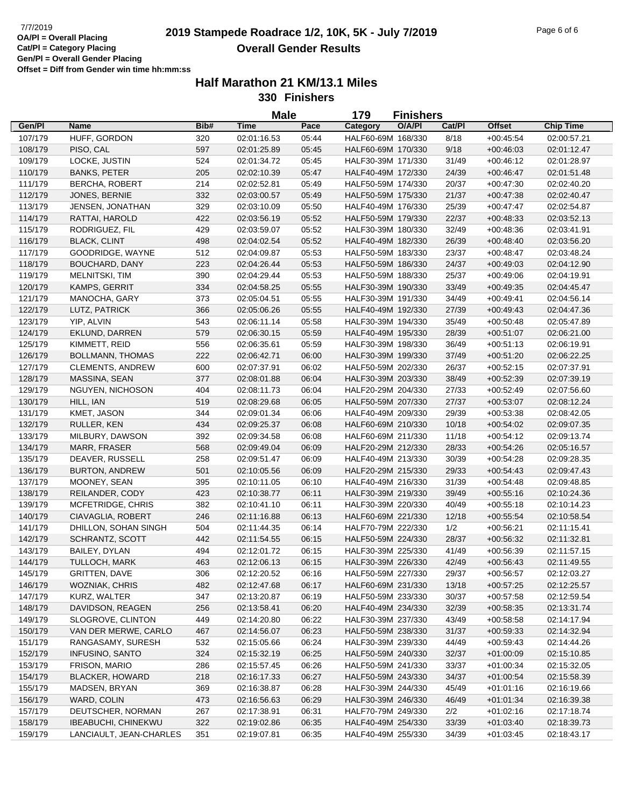# **2019 Stampede Roadrace 1/2, 10K, 5K - July 7/2019** 7/7/2019 Page 6 of 6 **Overall Gender Results**

| su rinisners |  |  |  |
|--------------|--|--|--|
|              |  |  |  |

|         |                            |      | <b>Male</b> |       | 179                | <b>Finishers</b> |        |               |                  |
|---------|----------------------------|------|-------------|-------|--------------------|------------------|--------|---------------|------------------|
| Gen/Pl  | <b>Name</b>                | Bib# | Time        | Pace  | Category           | O/A/PI           | Cat/PI | <b>Offset</b> | <b>Chip Time</b> |
| 107/179 | HUFF, GORDON               | 320  | 02:01:16.53 | 05:44 | HALF60-69M 168/330 |                  | 8/18   | $+00:45:54$   | 02:00:57.21      |
| 108/179 | PISO, CAL                  | 597  | 02:01:25.89 | 05:45 | HALF60-69M 170/330 |                  | 9/18   | $+00:46:03$   | 02:01:12.47      |
| 109/179 | LOCKE, JUSTIN              | 524  | 02:01:34.72 | 05:45 | HALF30-39M 171/330 |                  | 31/49  | $+00:46:12$   | 02:01:28.97      |
| 110/179 | <b>BANKS, PETER</b>        | 205  | 02:02:10.39 | 05:47 | HALF40-49M 172/330 |                  | 24/39  | $+00:46:47$   | 02:01:51.48      |
| 111/179 | <b>BERCHA, ROBERT</b>      | 214  | 02:02:52.81 | 05:49 | HALF50-59M 174/330 |                  | 20/37  | $+00:47:30$   | 02:02:40.20      |
| 112/179 | JONES, BERNIE              | 332  | 02:03:00.57 | 05:49 | HALF50-59M 175/330 |                  | 21/37  | $+00:47:38$   | 02:02:40.47      |
| 113/179 | JENSEN, JONATHAN           | 329  | 02:03:10.09 | 05:50 | HALF40-49M 176/330 |                  | 25/39  | $+00:47:47$   | 02:02:54.87      |
| 114/179 | RATTAI, HAROLD             | 422  | 02:03:56.19 | 05:52 | HALF50-59M 179/330 |                  | 22/37  | $+00:48:33$   | 02:03:52.13      |
| 115/179 | RODRIGUEZ, FIL             | 429  | 02:03:59.07 | 05:52 | HALF30-39M 180/330 |                  | 32/49  | $+00:48:36$   | 02:03:41.91      |
| 116/179 | <b>BLACK, CLINT</b>        | 498  | 02:04:02.54 | 05:52 | HALF40-49M 182/330 |                  | 26/39  | $+00.48:40$   | 02:03:56.20      |
| 117/179 | GOODRIDGE, WAYNE           | 512  | 02:04:09.87 | 05:53 | HALF50-59M 183/330 |                  | 23/37  | $+00:48:47$   | 02:03:48.24      |
| 118/179 | <b>BOUCHARD, DANY</b>      | 223  | 02:04:26.44 | 05:53 | HALF50-59M 186/330 |                  | 24/37  | $+00:49:03$   | 02:04:12.90      |
| 119/179 | MELNITSKI, TIM             | 390  | 02:04:29.44 | 05:53 | HALF50-59M 188/330 |                  | 25/37  | $+00.49.06$   | 02:04:19.91      |
| 120/179 | KAMPS, GERRIT              | 334  | 02:04:58.25 | 05:55 | HALF30-39M 190/330 |                  | 33/49  | $+00:49:35$   | 02:04:45.47      |
| 121/179 | MANOCHA, GARY              | 373  | 02:05:04.51 | 05:55 | HALF30-39M 191/330 |                  | 34/49  | $+00:49:41$   | 02:04:56.14      |
| 122/179 | LUTZ, PATRICK              | 366  | 02:05:06.26 | 05:55 | HALF40-49M 192/330 |                  | 27/39  | $+00:49:43$   | 02:04:47.36      |
| 123/179 | YIP, ALVIN                 | 543  | 02:06:11.14 | 05:58 | HALF30-39M 194/330 |                  | 35/49  | $+00:50:48$   | 02:05:47.89      |
| 124/179 | EKLUND, DARREN             | 579  | 02:06:30.15 | 05:59 | HALF40-49M 195/330 |                  | 28/39  | $+00:51:07$   | 02:06:21.00      |
| 125/179 | KIMMETT, REID              | 556  | 02:06:35.61 | 05:59 | HALF30-39M 198/330 |                  | 36/49  | $+00:51:13$   | 02:06:19.91      |
| 126/179 | <b>BOLLMANN, THOMAS</b>    | 222  | 02:06:42.71 | 06:00 | HALF30-39M 199/330 |                  | 37/49  | $+00:51:20$   | 02:06:22.25      |
| 127/179 | <b>CLEMENTS, ANDREW</b>    | 600  | 02:07:37.91 | 06:02 | HALF50-59M 202/330 |                  | 26/37  | $+00:52:15$   | 02:07:37.91      |
| 128/179 | MASSINA, SEAN              | 377  | 02:08:01.88 | 06:04 | HALF30-39M 203/330 |                  | 38/49  | $+00:52:39$   | 02:07:39.19      |
| 129/179 | NGUYEN, NICHOSON           | 404  | 02:08:11.73 | 06:04 | HALF20-29M 204/330 |                  | 27/33  | $+00:52:49$   | 02:07:56.60      |
| 130/179 | HILL, IAN                  | 519  | 02:08:29.68 | 06:05 | HALF50-59M 207/330 |                  | 27/37  | $+00:53:07$   | 02:08:12.24      |
| 131/179 | KMET, JASON                | 344  | 02:09:01.34 | 06:06 | HALF40-49M 209/330 |                  | 29/39  | $+00:53:38$   | 02:08:42.05      |
| 132/179 | RULLER, KEN                | 434  | 02:09:25.37 | 06:08 | HALF60-69M 210/330 |                  | 10/18  | $+00:54:02$   | 02:09:07.35      |
| 133/179 | MILBURY, DAWSON            | 392  | 02:09:34.58 | 06:08 | HALF60-69M 211/330 |                  | 11/18  | $+00:54:12$   | 02:09:13.74      |
| 134/179 | MARR, FRASER               | 568  | 02:09:49.04 | 06:09 | HALF20-29M 212/330 |                  | 28/33  | $+00:54:26$   | 02:05:16.57      |
| 135/179 | DEAVER, RUSSELL            | 258  | 02:09:51.47 | 06:09 | HALF40-49M 213/330 |                  | 30/39  | $+00:54:28$   | 02:09:28.35      |
| 136/179 | <b>BURTON, ANDREW</b>      | 501  | 02:10:05.56 | 06:09 | HALF20-29M 215/330 |                  | 29/33  | $+00.54.43$   | 02:09:47.43      |
| 137/179 | MOONEY, SEAN               | 395  | 02:10:11.05 | 06:10 | HALF40-49M 216/330 |                  | 31/39  | $+00:54:48$   | 02:09:48.85      |
| 138/179 | REILANDER, CODY            | 423  | 02:10:38.77 | 06:11 | HALF30-39M 219/330 |                  | 39/49  | $+00:55:16$   | 02:10:24.36      |
| 139/179 | MCFETRIDGE, CHRIS          | 382  | 02:10:41.10 | 06:11 | HALF30-39M 220/330 |                  | 40/49  | $+00:55:18$   | 02:10:14.23      |
| 140/179 | CIAVAGLIA, ROBERT          | 246  | 02:11:16.88 | 06:13 | HALF60-69M 221/330 |                  | 12/18  | $+00:55:54$   | 02:10:58.54      |
| 141/179 | DHILLON, SOHAN SINGH       | 504  | 02:11:44.35 | 06:14 | HALF70-79M 222/330 |                  | 1/2    | $+00.56:21$   | 02:11:15.41      |
| 142/179 | <b>SCHRANTZ, SCOTT</b>     | 442  | 02:11:54.55 | 06:15 | HALF50-59M 224/330 |                  | 28/37  | $+00:56:32$   | 02:11:32.81      |
| 143/179 | <b>BAILEY, DYLAN</b>       | 494  | 02:12:01.72 | 06:15 | HALF30-39M 225/330 |                  | 41/49  | $+00.56.39$   | 02:11:57.15      |
| 144/179 | TULLOCH, MARK              | 463  | 02:12:06.13 | 06:15 | HALF30-39M 226/330 |                  | 42/49  | $+00:56:43$   | 02:11:49.55      |
| 145/179 | GRITTEN, DAVE              | 306  | 02:12:20.52 | 06:16 | HALF50-59M 227/330 |                  | 29/37  | $+00:56:57$   | 02:12:03.27      |
| 146/179 | WOZNIAK, CHRIS             | 482  | 02:12:47.68 | 06:17 | HALF60-69M 231/330 |                  | 13/18  | $+00:57:25$   | 02:12:25.57      |
| 147/179 | KURZ, WALTER               | 347  | 02:13:20.87 | 06:19 | HALF50-59M 233/330 |                  | 30/37  | $+00.57:58$   | 02:12:59.54      |
| 148/179 | DAVIDSON, REAGEN           | 256  | 02:13:58.41 | 06:20 | HALF40-49M 234/330 |                  | 32/39  | $+00:58:35$   | 02:13:31.74      |
| 149/179 | SLOGROVE, CLINTON          | 449  | 02:14:20.80 | 06:22 | HALF30-39M 237/330 |                  | 43/49  | $+00:58:58$   | 02:14:17.94      |
| 150/179 | VAN DER MERWE, CARLO       | 467  | 02:14:56.07 | 06:23 | HALF50-59M 238/330 |                  | 31/37  | $+00:59:33$   | 02:14:32.94      |
| 151/179 | RANGASAMY, SURESH          | 532  | 02:15:05.66 | 06:24 | HALF30-39M 239/330 |                  | 44/49  | $+00.59:43$   | 02:14:44.26      |
| 152/179 | <b>INFUSINO, SANTO</b>     | 324  | 02:15:32.19 | 06:25 | HALF50-59M 240/330 |                  | 32/37  | $+01:00:09$   | 02:15:10.85      |
| 153/179 | FRISON, MARIO              | 286  | 02:15:57.45 | 06:26 | HALF50-59M 241/330 |                  | 33/37  | $+01:00:34$   | 02:15:32.05      |
| 154/179 | <b>BLACKER, HOWARD</b>     | 218  | 02:16:17.33 | 06:27 | HALF50-59M 243/330 |                  | 34/37  | $+01:00:54$   | 02:15:58.39      |
| 155/179 | MADSEN, BRYAN              | 369  | 02:16:38.87 | 06:28 | HALF30-39M 244/330 |                  | 45/49  | $+01:01:16$   | 02:16:19.66      |
| 156/179 | WARD, COLIN                | 473  | 02:16:56.63 | 06:29 | HALF30-39M 246/330 |                  | 46/49  | $+01:01:34$   | 02:16:39.38      |
| 157/179 | DEUTSCHER, NORMAN          | 267  | 02:17:38.91 | 06:31 | HALF70-79M 249/330 |                  | 2/2    | $+01:02:16$   | 02:17:18.74      |
| 158/179 | <b>IBEABUCHI, CHINEKWU</b> | 322  | 02:19:02.86 | 06:35 | HALF40-49M 254/330 |                  | 33/39  | $+01:03:40$   | 02:18:39.73      |
| 159/179 | LANCIAULT, JEAN-CHARLES    | 351  | 02:19:07.81 | 06:35 | HALF40-49M 255/330 |                  | 34/39  | $+01:03:45$   | 02:18:43.17      |